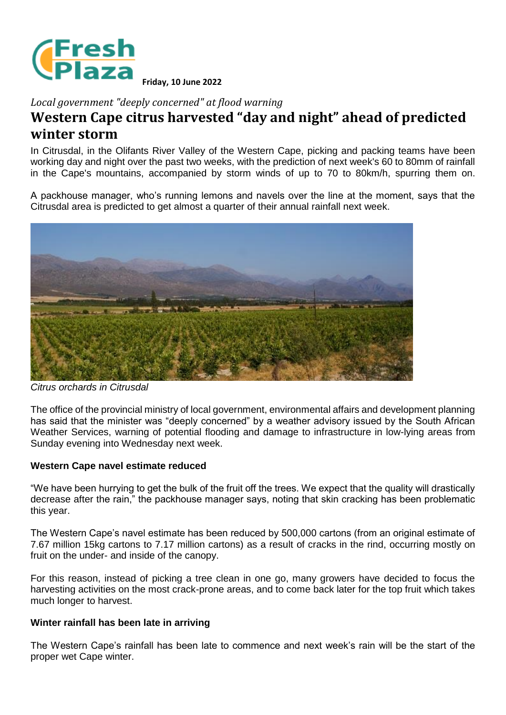

**Friday, 10 June 2022**

*Local government "deeply concerned" at flood warning*

## **Western Cape citrus harvested "day and night" ahead of predicted winter storm**

In Citrusdal, in the Olifants River Valley of the Western Cape, picking and packing teams have been working day and night over the past two weeks, with the prediction of next week's 60 to 80mm of rainfall in the Cape's mountains, accompanied by storm winds of up to 70 to 80km/h, spurring them on.

A packhouse manager, who's running lemons and navels over the line at the moment, says that the Citrusdal area is predicted to get almost a quarter of their annual rainfall next week.



*Citrus orchards in Citrusdal*

The office of the provincial ministry of local government, environmental affairs and development planning has said that the minister was "deeply concerned" by a weather advisory issued by the South African Weather Services, warning of potential flooding and damage to infrastructure in low-lying areas from Sunday evening into Wednesday next week.

## **Western Cape navel estimate reduced**

"We have been hurrying to get the bulk of the fruit off the trees. We expect that the quality will drastically decrease after the rain," the packhouse manager says, noting that skin cracking has been problematic this year.

The Western Cape's navel estimate has been reduced by 500,000 cartons (from an original estimate of 7.67 million 15kg cartons to 7.17 million cartons) as a result of cracks in the rind, occurring mostly on fruit on the under- and inside of the canopy.

For this reason, instead of picking a tree clean in one go, many growers have decided to focus the harvesting activities on the most crack-prone areas, and to come back later for the top fruit which takes much longer to harvest.

## **Winter rainfall has been late in arriving**

The Western Cape's rainfall has been late to commence and next week's rain will be the start of the proper wet Cape winter.